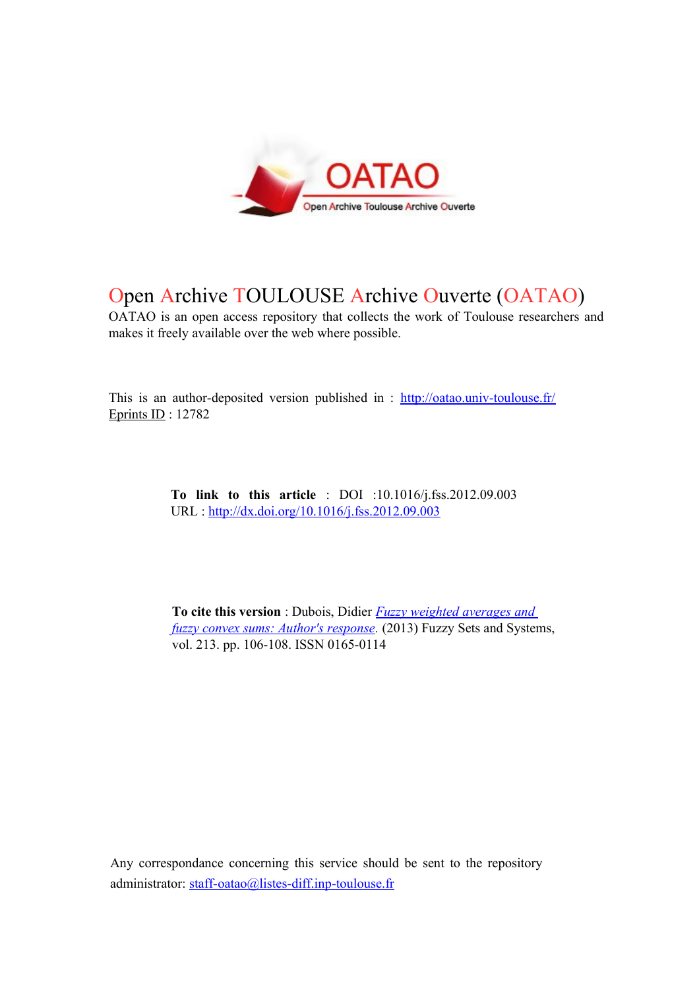

# Open Archive TOULOUSE Archive Ouverte (OATAO)

OATAO is an open access repository that collects the work of Toulouse researchers and makes it freely available over the web where possible.

This is an author-deposited version published in :<http://oatao.univ-toulouse.fr/> Eprints ID : 12782

> **To link to this article** : DOI :10.1016/j.fss.2012.09.003 URL :<http://dx.doi.org/10.1016/j.fss.2012.09.003>

**To cite this version** : Dubois, Didier *[Fuzzy weighted averages and](http://oatao.univ-toulouse.fr/12782/)  [fuzzy convex sums: Author's response.](http://oatao.univ-toulouse.fr/12782/)* (2013) Fuzzy Sets and Systems, vol. 213. pp. 106-108. ISSN 0165-0114

Any correspondance concerning this service should be sent to the repository administrator: [staff-oatao@listes-diff.inp-toulouse.fr](mailto:staff-oatao@listes-diff.inp-toulouse.fr)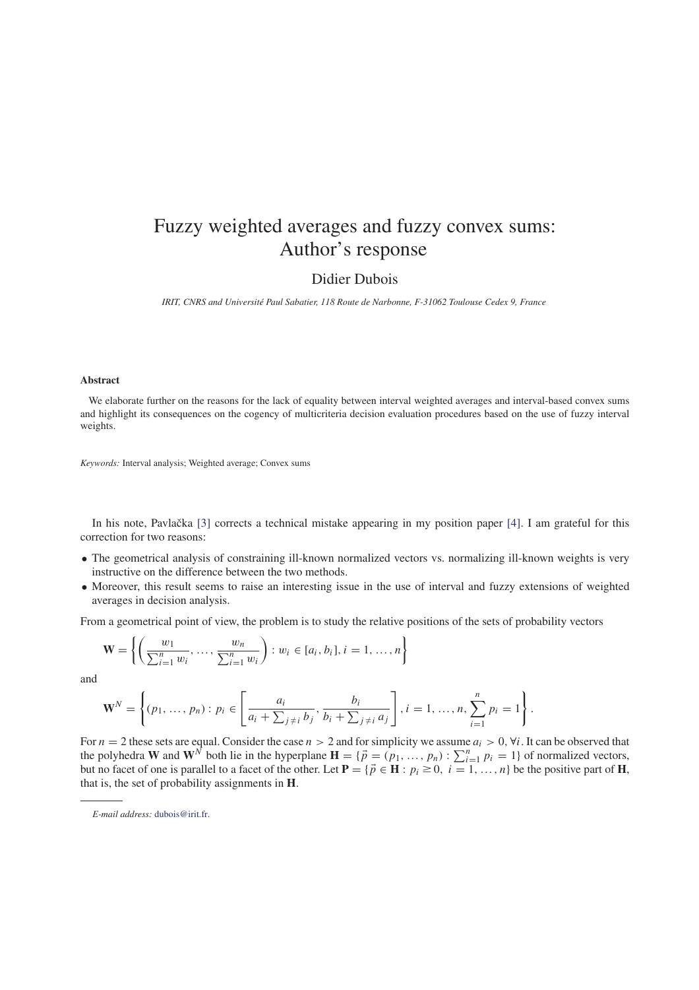## Fuzzy weighted averages and fuzzy convex sums: Author's response

## Didier Dubois

*IRIT, CNRS and Université Paul Sabatier, 118 Route de Narbonne, F-31062 Toulouse Cedex 9, France*

### **Abstract**

We elaborate further on the reasons for the lack of equality between interval weighted averages and interval-based convex sums and highlight its consequences on the cogency of multicriteria decision evaluation procedures based on the use of fuzzy interval weights.

*Keywords:* Interval analysis; Weighted average; Convex sums

In his note, Pavlačka [3] corrects a technical mistake appearing in my position paper [4]. I am grateful for this correction for two reasons:

- The geometrical analysis of constraining ill-known normalized vectors vs. normalizing ill-known weights is very instructive on the difference between the two methods.
- Moreover, this result seems to raise an interesting issue in the use of interval and fuzzy extensions of weighted averages in decision analysis.

From a geometrical point of view, the problem is to study the relative positions of the sets of probability vectors

$$
\mathbf{W} = \left\{ \left( \frac{w_1}{\sum_{i=1}^n w_i}, \dots, \frac{w_n}{\sum_{i=1}^n w_i} \right) : w_i \in [a_i, b_i], i = 1, \dots, n \right\}
$$

and

$$
\mathbf{W}^{N} = \left\{ (p_{1}, ..., p_{n}) : p_{i} \in \left[ \frac{a_{i}}{a_{i} + \sum_{j \neq i} b_{j}}, \frac{b_{i}}{b_{i} + \sum_{j \neq i} a_{j}} \right], i = 1, ..., n, \sum_{i=1}^{n} p_{i} = 1 \right\}.
$$

For  $n = 2$  these sets are equal. Consider the case  $n > 2$  and for simplicity we assume  $a_i > 0$ ,  $\forall i$ . It can be observed that the polyhedra **W** and  $\mathbf{W}^{N}$  both lie in the hyperplane  $\mathbf{H} = \{\vec{p} = (p_1, ..., p_n) : \sum_{i=1}^{n} p_i = 1\}$  of normalized vectors, but no facet of one is parallel to a facet of the other. Let  $P = \{ \vec{p} \in H : p_i \ge 0, i = 1, ..., n \}$  be the positive part of H, that is, the set of probability assignments in **H**.

*E-mail address:* dubois@irit.fr.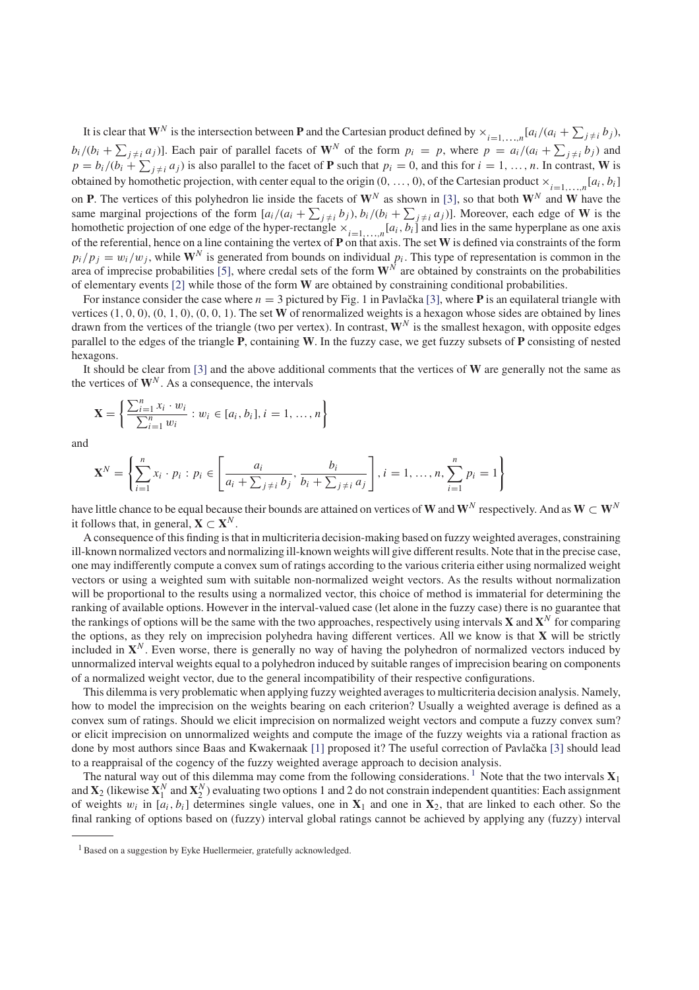It is clear that  $W^N$  is the intersection between **P** and the Cartesian product defined by  $\times_{i=1,\ldots,n} [a_i/(a_i + \sum_{j\neq i} b_j),$  $b_i/(b_i + \sum_{j \neq i} a_j)$ ]. Each pair of parallel facets of  $W^N$  of the form  $p_i = p$ , where  $p = a_i/(a_i + \sum_{j \neq i} b_j)$  and  $p = b_i/(b_i + \sum_{j \neq i} a_j)$  is also parallel to the facet of **P** such that  $p_i = 0$ , and this for  $i = 1, ..., n$ . In contrast, **W** is obtained by homothetic projection, with center equal to the origin  $(0, \ldots, 0)$ , of the Cartesian product  $\times_{i=1,\ldots,n}[a_i, b_i]$ on **P**. The vertices of this polyhedron lie inside the facets of  $W^N$  as shown in [3], so that both  $W^N$  and W have the same marginal projections of the form  $[a_i/(a_i + \sum_{j\neq i} b_j), b_i/(b_i + \sum_{j\neq i} a_j)]$ . Moreover, each edge of W is the homothetic projection of one edge of the hyper-rectangle  $\times_{i=1,\dots,n}[a_i, b_i]$  and lies in the same hyperplane as one axis of the referential, hence on a line containing the vertex of **P** on that axis. The set **W** is defined via constraints of the form  $p_i/p_j = w_i/w_j$ , while  $\mathbf{W}^N$  is generated from bounds on individual  $p_i$ . This type of representation is common in the area of imprecise probabilities [5], where credal sets of the form  $W^N$  are obtained by constraints on the probabilities of elementary events [2] while those of the form **W** are obtained by constraining conditional probabilities.

For instance consider the case where  $n = 3$  pictured by Fig. 1 in Pavlačka [3], where **P** is an equilateral triangle with vertices (1, 0, 0), (0, 1, 0), (0, 0, 1). The set **W** of renormalized weights is a hexagon whose sides are obtained by lines drawn from the vertices of the triangle (two per vertex). In contrast, **W***<sup>N</sup>* is the smallest hexagon, with opposite edges parallel to the edges of the triangle **P**, containing **W**. In the fuzzy case, we get fuzzy subsets of **P** consisting of nested hexagons.

It should be clear from [3] and the above additional comments that the vertices of **W** are generally not the same as the vertices of  $W^N$ . As a consequence, the intervals

$$
\mathbf{X} = \left\{ \frac{\sum_{i=1}^{n} x_i \cdot w_i}{\sum_{i=1}^{n} w_i} : w_i \in [a_i, b_i], i = 1, ..., n \right\}
$$

and

$$
\mathbf{X}^{N} = \left\{ \sum_{i=1}^{n} x_{i} \cdot p_{i} : p_{i} \in \left[ \frac{a_{i}}{a_{i} + \sum_{j \neq i} b_{j}}, \frac{b_{i}}{b_{i} + \sum_{j \neq i} a_{j}} \right], i = 1, ..., n, \sum_{i=1}^{n} p_{i} = 1 \right\}
$$

have little chance to be equal because their bounds are attained on vertices of  $W$  and  $W^N$  respectively. And as  $W\subset W^N$ it follows that, in general,  $X \subset X^N$ .

A consequence of this finding is that in multicriteria decision-making based on fuzzy weighted averages, constraining ill-known normalized vectors and normalizing ill-known weights will give different results. Note that in the precise case, one may indifferently compute a convex sum of ratings according to the various criteria either using normalized weight vectors or using a weighted sum with suitable non-normalized weight vectors. As the results without normalization will be proportional to the results using a normalized vector, this choice of method is immaterial for determining the ranking of available options. However in the interval-valued case (let alone in the fuzzy case) there is no guarantee that the rankings of options will be the same with the two approaches, respectively using intervals **X** and  $X^N$  for comparing the options, as they rely on imprecision polyhedra having different vertices. All we know is that **X** will be strictly included in  $X^N$ . Even worse, there is generally no way of having the polyhedron of normalized vectors induced by unnormalized interval weights equal to a polyhedron induced by suitable ranges of imprecision bearing on components of a normalized weight vector, due to the general incompatibility of their respective configurations.

This dilemma is very problematic when applying fuzzy weighted averages to multicriteria decision analysis. Namely, how to model the imprecision on the weights bearing on each criterion? Usually a weighted average is defined as a convex sum of ratings. Should we elicit imprecision on normalized weight vectors and compute a fuzzy convex sum? or elicit imprecision on unnormalized weights and compute the image of the fuzzy weights via a rational fraction as done by most authors since Baas and Kwakernaak [1] proposed it? The useful correction of Pavlačka [3] should lead to a reappraisal of the cogency of the fuzzy weighted average approach to decision analysis.

The natural way out of this dilemma may come from the following considerations.<sup>1</sup> Note that the two intervals  $\mathbf{X}_1$ and  $X_2$  (likewise  $X_1^N$  and  $X_2^N$ ) evaluating two options 1 and 2 do not constrain independent quantities: Each assignment of weights  $w_i$  in  $[a_i, b_i]$  determines single values, one in  $X_1$  and one in  $X_2$ , that are linked to each other. So the final ranking of options based on (fuzzy) interval global ratings cannot be achieved by applying any (fuzzy) interval

<sup>&</sup>lt;sup>1</sup> Based on a suggestion by Eyke Huellermeier, gratefully acknowledged.